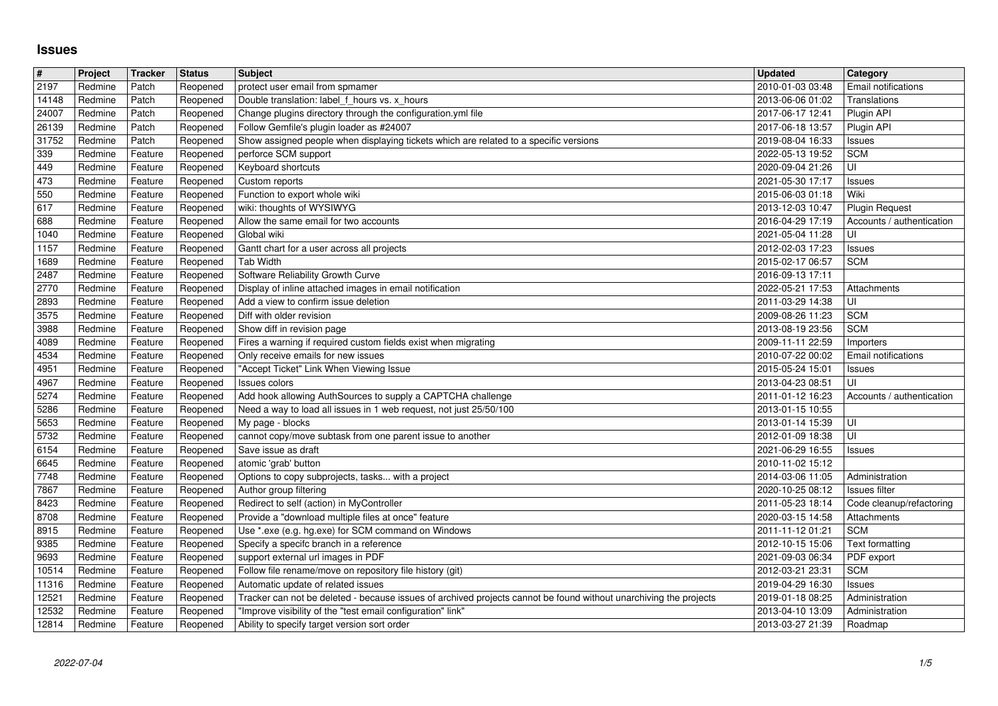## **Issues**

| $\#$           | Project            | Tracker            | <b>Status</b>        | <b>Subject</b>                                                                                                                                                                              | <b>Updated</b>                       | Category                                |
|----------------|--------------------|--------------------|----------------------|---------------------------------------------------------------------------------------------------------------------------------------------------------------------------------------------|--------------------------------------|-----------------------------------------|
| 2197           | Redmine            | Patch              | Reopened             | protect user email from spmamer                                                                                                                                                             | 2010-01-03 03:48                     | Email notifications                     |
| 14148<br>24007 | Redmine<br>Redmine | Patch<br>Patch     | Reopened<br>Reopened | Double translation: label f hours vs. x hours<br>Change plugins directory through the configuration.yml file                                                                                | 2013-06-06 01:02<br>2017-06-17 12:41 | Translations<br>Plugin API              |
| 26139          | Redmine            | Patch              | Reopened             | Follow Gemfile's plugin loader as #24007                                                                                                                                                    | 2017-06-18 13:57                     | Plugin API                              |
| 31752          | Redmine            | Patch              | Reopened             | Show assigned people when displaying tickets which are related to a specific versions                                                                                                       | 2019-08-04 16:33                     | Issues                                  |
| 339            | Redmine            | Feature            | Reopened             | perforce SCM support                                                                                                                                                                        | 2022-05-13 19:52                     | <b>SCM</b>                              |
| 449            | Redmine            | Feature            | Reopened             | Keyboard shortcuts                                                                                                                                                                          | 2020-09-04 21:26                     | UI                                      |
| 473<br>550     | Redmine<br>Redmine | Feature<br>Feature | Reopened<br>Reopened | Custom reports<br>Function to export whole wiki                                                                                                                                             | 2021-05-30 17:17<br>2015-06-03 01:18 | Issues<br>Wiki                          |
| 617            | Redmine            | Feature            | Reopened             | wiki: thoughts of WYSIWYG                                                                                                                                                                   | 2013-12-03 10:47                     | <b>Plugin Request</b>                   |
| 688            | Redmine            | Feature            | Reopened             | Allow the same email for two accounts                                                                                                                                                       | 2016-04-29 17:19                     | Accounts / authentication               |
| 1040           | Redmine            | Feature            | Reopened             | Global wiki                                                                                                                                                                                 | 2021-05-04 11:28                     | ΙUΙ                                     |
| 1157           | Redmine            | Feature            | Reopened             | Gantt chart for a user across all projects                                                                                                                                                  | 2012-02-03 17:23                     | Issues                                  |
| 1689<br>2487   | Redmine<br>Redmine | Feature<br>Feature | Reopened<br>Reopened | Tab Width<br>Software Reliability Growth Curve                                                                                                                                              | 2015-02-17 06:57<br>2016-09-13 17:11 | <b>SCM</b>                              |
| 2770           | Redmine            | Feature            | Reopened             | Display of inline attached images in email notification                                                                                                                                     | 2022-05-21 17:53                     | Attachments                             |
| 2893           | Redmine            | Feature            | Reopened             | Add a view to confirm issue deletion                                                                                                                                                        | 2011-03-29 14:38                     | UI                                      |
| 3575           | Redmine            | Feature            | Reopened             | Diff with older revision                                                                                                                                                                    | 2009-08-26 11:23                     | <b>SCM</b>                              |
| 3988           | Redmine            | Feature            | Reopened             | Show diff in revision page                                                                                                                                                                  | 2013-08-19 23:56                     | <b>SCM</b>                              |
| 4089<br>4534   | Redmine<br>Redmine | Feature<br>Feature | Reopened<br>Reopened | Fires a warning if required custom fields exist when migrating<br>Only receive emails for new issues                                                                                        | 2009-11-11 22:59<br>2010-07-22 00:02 | Importers<br><b>Email notifications</b> |
| 4951           | Redmine            | Feature            | Reopened             | "Accept Ticket" Link When Viewing Issue                                                                                                                                                     | 2015-05-24 15:01                     | Issues                                  |
| 4967           | Redmine            | Feature            | Reopened             | Issues colors                                                                                                                                                                               | 2013-04-23 08:51                     | UI                                      |
| 5274           | Redmine            | Feature            | Reopened             | Add hook allowing AuthSources to supply a CAPTCHA challenge                                                                                                                                 | 2011-01-12 16:23                     | Accounts / authentication               |
| 5286           | Redmine            | Feature            | Reopened             | Need a way to load all issues in 1 web request, not just 25/50/100                                                                                                                          | 2013-01-15 10:55                     |                                         |
| 5653<br>5732   | Redmine<br>Redmine | Feature<br>Feature | Reopened<br>Reopened | My page - blocks<br>cannot copy/move subtask from one parent issue to another                                                                                                               | 2013-01-14 15:39<br>2012-01-09 18:38 | UI<br>UI                                |
| 6154           | Redmine            | Feature            | Reopened             | Save issue as draft                                                                                                                                                                         | 2021-06-29 16:55                     | Issues                                  |
| 6645           | Redmine            | Feature            | Reopened             | atomic 'grab' button                                                                                                                                                                        | 2010-11-02 15:12                     |                                         |
| 7748           | Redmine            | Feature            | Reopened             | Options to copy subprojects, tasks with a project                                                                                                                                           | 2014-03-06 11:05                     | Administration                          |
| 7867           | Redmine            | Feature            | Reopened             | Author group filtering                                                                                                                                                                      | 2020-10-25 08:12                     | <b>Issues filter</b>                    |
| 8423           | Redmine            | Feature            | Reopened             | Redirect to self (action) in MyController                                                                                                                                                   | 2011-05-23 18:14                     | Code cleanup/refactoring                |
| 8708<br>8915   | Redmine<br>Redmine | Feature<br>Feature | Reopened<br>Reopened | Provide a "download multiple files at once" feature<br>Use *.exe (e.g. hg.exe) for SCM command on Windows                                                                                   | 2020-03-15 14:58<br>2011-11-12 01:21 | Attachments<br><b>SCM</b>               |
| 9385           | Redmine            | Feature            | Reopened             | Specify a specifc branch in a reference                                                                                                                                                     | 2012-10-15 15:06                     | Text formatting                         |
| 9693           | Redmine            | Feature            | Reopened             | support external url images in PDF                                                                                                                                                          | 2021-09-03 06:34                     | PDF export                              |
| 10514          | Redmine            | Feature            | Reopened             | Follow file rename/move on repository file history (git)                                                                                                                                    | 2012-03-21 23:31                     | <b>SCM</b>                              |
| 11316          | Redmine            | Feature            | Reopened             | Automatic update of related issues                                                                                                                                                          | 2019-04-29 16:30                     | Issues                                  |
| 12521<br>12532 | Redmine<br>Redmine | Feature<br>Feature | Reopened             | Reopened   Tracker can not be deleted - because issues of archived projects cannot be found without unarchiving the projects<br>"Improve visibility of the "test email configuration" link" | 2019-01-18 08:25<br>2013-04-10 13:09 | Administration<br>Administration        |
| 12814          | Redmine            | Feature            | Reopened             | Ability to specify target version sort order                                                                                                                                                | 2013-03-27 21:39                     | Roadmap                                 |
| 2022-07-04     |                    |                    |                      |                                                                                                                                                                                             |                                      |                                         |
|                |                    |                    |                      |                                                                                                                                                                                             |                                      |                                         |
|                |                    |                    |                      |                                                                                                                                                                                             |                                      |                                         |
|                |                    |                    |                      |                                                                                                                                                                                             |                                      |                                         |
|                |                    |                    |                      |                                                                                                                                                                                             |                                      |                                         |
|                |                    |                    |                      |                                                                                                                                                                                             |                                      |                                         |
|                |                    |                    |                      |                                                                                                                                                                                             |                                      |                                         |
|                |                    |                    |                      |                                                                                                                                                                                             |                                      |                                         |
|                |                    |                    |                      |                                                                                                                                                                                             |                                      |                                         |
|                |                    |                    |                      |                                                                                                                                                                                             |                                      |                                         |
|                |                    |                    |                      |                                                                                                                                                                                             |                                      |                                         |
|                |                    |                    |                      |                                                                                                                                                                                             |                                      |                                         |
|                |                    |                    |                      |                                                                                                                                                                                             |                                      |                                         |
|                |                    |                    |                      |                                                                                                                                                                                             |                                      |                                         |
|                |                    |                    |                      |                                                                                                                                                                                             |                                      |                                         |
|                |                    |                    |                      |                                                                                                                                                                                             |                                      |                                         |
|                |                    |                    |                      |                                                                                                                                                                                             |                                      |                                         |
|                |                    |                    |                      |                                                                                                                                                                                             |                                      |                                         |
|                |                    |                    |                      |                                                                                                                                                                                             |                                      |                                         |
|                |                    |                    |                      |                                                                                                                                                                                             |                                      |                                         |
|                |                    |                    |                      |                                                                                                                                                                                             |                                      |                                         |
|                |                    |                    |                      |                                                                                                                                                                                             |                                      |                                         |
|                |                    |                    |                      |                                                                                                                                                                                             |                                      |                                         |
|                |                    |                    |                      |                                                                                                                                                                                             |                                      |                                         |
|                |                    |                    |                      |                                                                                                                                                                                             |                                      |                                         |
|                |                    |                    |                      |                                                                                                                                                                                             |                                      |                                         |
|                |                    |                    |                      |                                                                                                                                                                                             |                                      |                                         |
|                |                    |                    |                      |                                                                                                                                                                                             |                                      |                                         |
|                |                    |                    |                      |                                                                                                                                                                                             |                                      |                                         |
|                |                    |                    |                      |                                                                                                                                                                                             |                                      |                                         |
|                |                    |                    |                      |                                                                                                                                                                                             |                                      |                                         |
|                |                    |                    |                      |                                                                                                                                                                                             |                                      |                                         |
|                |                    |                    |                      |                                                                                                                                                                                             |                                      |                                         |
|                |                    |                    |                      |                                                                                                                                                                                             |                                      |                                         |
|                |                    |                    |                      |                                                                                                                                                                                             |                                      |                                         |
|                |                    |                    |                      |                                                                                                                                                                                             |                                      |                                         |
|                |                    |                    |                      |                                                                                                                                                                                             |                                      |                                         |
|                |                    |                    |                      |                                                                                                                                                                                             |                                      |                                         |
|                |                    |                    |                      |                                                                                                                                                                                             |                                      |                                         |
|                |                    |                    |                      |                                                                                                                                                                                             |                                      |                                         |
|                |                    |                    |                      |                                                                                                                                                                                             |                                      |                                         |
|                |                    |                    |                      |                                                                                                                                                                                             |                                      |                                         |
|                |                    |                    |                      |                                                                                                                                                                                             |                                      |                                         |
|                |                    |                    |                      |                                                                                                                                                                                             |                                      |                                         |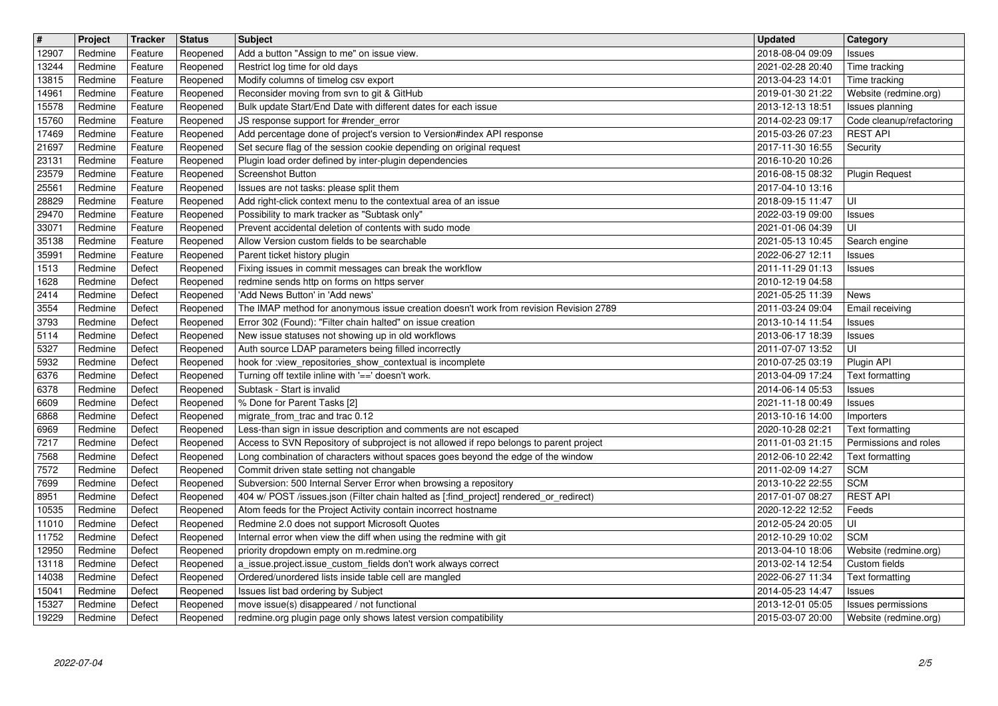| 2018-08-04 09:09<br>12907<br>Redmine<br>Add a button "Assign to me" on issue view.<br>Feature<br>Reopened<br><b>Issues</b><br>Restrict log time for old days<br>2021-02-28 20:40<br>13244<br>Redmine<br>Feature<br>Reopened<br>Time tracking<br>Modify columns of timelog csv export<br>2013-04-23 14:01<br>Time tracking<br>13815<br>Redmine<br>Feature<br>Reopened<br>Reconsider moving from svn to git & GitHub<br>14961<br>2019-01-30 21:22<br>Website (redmine.org)<br>Redmine<br>Feature<br>Reopened<br>15578<br>Bulk update Start/End Date with different dates for each issue<br>Redmine<br>Feature<br>2013-12-13 18:51<br>Reopened<br>Issues planning<br>15760<br>JS response support for #render_error<br>2014-02-23 09:17<br>Redmine<br>Feature<br>Reopened<br>Code cleanup/refactoring<br>Add percentage done of project's version to Version#index API response<br><b>REST API</b><br>17469<br>Redmine<br>Feature<br>Reopened<br>2015-03-26 07:23<br>21697<br>Set secure flag of the session cookie depending on original request<br>Redmine<br>Reopened<br>2017-11-30 16:55<br>Security<br>Feature<br>23131<br>Redmine<br>Feature<br>Plugin load order defined by inter-plugin dependencies<br>2016-10-20 10:26<br>Reopened<br>23579<br>Redmine<br>Feature<br><b>Screenshot Button</b><br>2016-08-15 08:32<br>Reopened<br><b>Plugin Request</b><br>25561<br>Redmine<br>Feature<br>Reopened<br>Issues are not tasks: please split them<br>2017-04-10 13:16<br>Add right-click context menu to the contextual area of an issue<br>UI<br>28829<br>Redmine<br>Feature<br>Reopened<br>2018-09-15 11:47<br>29470<br>Possibility to mark tracker as "Subtask only"<br>Redmine<br>Reopened<br>2022-03-19 09:00<br>Feature<br><b>Issues</b><br>Prevent accidental deletion of contents with sudo mode<br>UI<br>33071<br>Redmine<br>Feature<br>Reopened<br>2021-01-06 04:39<br>35138<br>Allow Version custom fields to be searchable<br>Redmine<br>Feature<br>Reopened<br>2021-05-13 10:45<br>Search engine<br>35991<br>Redmine<br>Reopened<br>Parent ticket history plugin<br>2022-06-27 12:11<br>Feature<br>Issues<br>1513<br>Redmine<br>Defect<br>Reopened<br>Fixing issues in commit messages can break the workflow<br>2011-11-29 01:13<br>Issues<br>1628<br>Redmine<br>Defect<br>redmine sends http on forms on https server<br>2010-12-19 04:58<br>Reopened<br>2414<br>'Add News Button' in 'Add news'<br>Redmine<br>Defect<br>Reopened<br>2021-05-25 11:39<br>News<br>3554<br>The IMAP method for anonymous issue creation doesn't work from revision Revision 2789<br>2011-03-24 09:04<br>Redmine<br>Defect<br>Reopened<br>Email receiving<br>Error 302 (Found): "Filter chain halted" on issue creation<br>2013-10-14 11:54<br>Redmine<br>Defect<br>Reopened<br>Issues<br>5114<br>New issue statuses not showing up in old workflows<br>Redmine<br>Defect<br>Reopened<br>2013-06-17 18:39<br><b>Issues</b><br>5327<br>UI<br>Auth source LDAP parameters being filled incorrectly<br>2011-07-07 13:52<br>Redmine<br>Defect<br>Reopened<br>5932<br>hook for :view_repositories_show_contextual is incomplete<br>Redmine<br>2010-07-25 03:19<br>Plugin API<br>Defect<br>Reopened<br>Turning off textile inline with '==' doesn't work.<br>Redmine<br>Defect<br>Reopened<br>2013-04-09 17:24<br><b>Text formatting</b><br>Subtask - Start is invalid<br>Redmine<br>Defect<br>Reopened<br>2014-06-14 05:53<br>Issues<br>% Done for Parent Tasks [2]<br>6609<br>Redmine<br>Defect<br>Reopened<br>2021-11-18 00:49<br>Issues<br>6868<br>Redmine<br>Defect<br>Reopened<br>migrate_from_trac and trac 0.12<br>2013-10-16 14:00<br>Importers<br>6969<br>Less-than sign in issue description and comments are not escaped<br>Redmine<br>Defect<br>Reopened<br>2020-10-28 02:21<br>Text formatting<br>Access to SVN Repository of subproject is not allowed if repo belongs to parent project<br>2011-01-03 21:15<br>Redmine<br>Defect<br>Reopened<br>Permissions and roles<br>7568<br>Long combination of characters without spaces goes beyond the edge of the window<br>Redmine<br>Defect<br>Reopened<br>2012-06-10 22:42<br>Text formatting<br>7572<br>Redmine<br>Defect<br>Commit driven state setting not changable<br>2011-02-09 14:27<br>SCM<br>Reopened<br>Subversion: 500 Internal Server Error when browsing a repository<br><b>SCM</b><br>7699<br>Redmine<br>Reopened<br>2013-10-22 22:55<br>Defect<br>404 w/ POST /issues.json (Filter chain halted as [:find_project] rendered_or_redirect)<br><b>REST API</b><br>8951<br>Redmine<br>Defect<br>Reopened<br>2017-01-07 08:27<br>Atom feeds for the Project Activity contain incorrect hostname<br>10535<br>Redmine<br>Defect<br>Reopened<br>2020-12-22 12:52<br>Feeds<br>Redmine 2.0 does not support Microsoft Quotes<br>UI<br>11010<br>Redmine<br>Defect<br>2012-05-24 20:05<br>Reopened<br><b>SCM</b><br>11752<br>Redmine<br>Defect<br>Internal error when view the diff when using the redmine with git<br>2012-10-29 10:02<br>Reopened<br>12950<br>Defect<br>2013-04-10 18:06<br>Redmine<br>priority dropdown empty on m.redmine.org<br>Website (redmine.org)<br>Reopened<br>$\sqrt{13118}$<br>Redmine<br>Defect<br>2013-02-14 12:54 Custom fields<br>Reopened<br>a_issue.project.issue_custom_fields don't work always correct<br>2022-06-27 11:34<br>14038<br>Redmine<br>Defect<br>Reopened<br>Ordered/unordered lists inside table cell are mangled<br>Text formatting<br>15041<br>Reopened<br>Issues list bad ordering by Subject<br>2014-05-23 14:47<br>Redmine<br>Defect<br>Issues<br>move issue(s) disappeared / not functional<br>15327<br>Redmine<br>Defect<br>Reopened<br>2013-12-01 05:05<br>Issues permissions<br>Defect<br>redmine.org plugin page only shows latest version compatibility<br>Website (redmine.org)<br>19229<br>Redmine<br>Reopened<br>2015-03-07 20:00<br>2022-07-04<br>2/5 | $\boxed{\texttt{#}}$ | Project | Tracker | <b>Status</b> | <b>Subject</b> | Updated | <b>Category</b> |
|-------------------------------------------------------------------------------------------------------------------------------------------------------------------------------------------------------------------------------------------------------------------------------------------------------------------------------------------------------------------------------------------------------------------------------------------------------------------------------------------------------------------------------------------------------------------------------------------------------------------------------------------------------------------------------------------------------------------------------------------------------------------------------------------------------------------------------------------------------------------------------------------------------------------------------------------------------------------------------------------------------------------------------------------------------------------------------------------------------------------------------------------------------------------------------------------------------------------------------------------------------------------------------------------------------------------------------------------------------------------------------------------------------------------------------------------------------------------------------------------------------------------------------------------------------------------------------------------------------------------------------------------------------------------------------------------------------------------------------------------------------------------------------------------------------------------------------------------------------------------------------------------------------------------------------------------------------------------------------------------------------------------------------------------------------------------------------------------------------------------------------------------------------------------------------------------------------------------------------------------------------------------------------------------------------------------------------------------------------------------------------------------------------------------------------------------------------------------------------------------------------------------------------------------------------------------------------------------------------------------------------------------------------------------------------------------------------------------------------------------------------------------------------------------------------------------------------------------------------------------------------------------------------------------------------------------------------------------------------------------------------------------------------------------------------------------------------------------------------------------------------------------------------------------------------------------------------------------------------------------------------------------------------------------------------------------------------------------------------------------------------------------------------------------------------------------------------------------------------------------------------------------------------------------------------------------------------------------------------------------------------------------------------------------------------------------------------------------------------------------------------------------------------------------------------------------------------------------------------------------------------------------------------------------------------------------------------------------------------------------------------------------------------------------------------------------------------------------------------------------------------------------------------------------------------------------------------------------------------------------------------------------------------------------------------------------------------------------------------------------------------------------------------------------------------------------------------------------------------------------------------------------------------------------------------------------------------------------------------------------------------------------------------------------------------------------------------------------------------------------------------------------------------------------------------------------------------------------------------------------------------------------------------------------------------------------------------------------------------------------------------------------------------------------------------------------------------------------------------------------------------------------------------------------------------------------------------------------------------------------------------------------------------------------------------------------------------------------------------------------------------------------------------------------------------------------------------------------------------------------------------------------------------------------------------------------------------------------------------------------------------------------------------------------------------------------------------------------------------------------------------------------------------------------------------------------------------------------------------------------------------|----------------------|---------|---------|---------------|----------------|---------|-----------------|
|                                                                                                                                                                                                                                                                                                                                                                                                                                                                                                                                                                                                                                                                                                                                                                                                                                                                                                                                                                                                                                                                                                                                                                                                                                                                                                                                                                                                                                                                                                                                                                                                                                                                                                                                                                                                                                                                                                                                                                                                                                                                                                                                                                                                                                                                                                                                                                                                                                                                                                                                                                                                                                                                                                                                                                                                                                                                                                                                                                                                                                                                                                                                                                                                                                                                                                                                                                                                                                                                                                                                                                                                                                                                                                                                                                                                                                                                                                                                                                                                                                                                                                                                                                                                                                                                                                                                                                                                                                                                                                                                                                                                                                                                                                                                                                                                                                                                                                                                                                                                                                                                                                                                                                                                                                                                                                                                                                                                                                                                                                                                                                                                                                                                                                                                                                                                                                                                               |                      |         |         |               |                |         |                 |
|                                                                                                                                                                                                                                                                                                                                                                                                                                                                                                                                                                                                                                                                                                                                                                                                                                                                                                                                                                                                                                                                                                                                                                                                                                                                                                                                                                                                                                                                                                                                                                                                                                                                                                                                                                                                                                                                                                                                                                                                                                                                                                                                                                                                                                                                                                                                                                                                                                                                                                                                                                                                                                                                                                                                                                                                                                                                                                                                                                                                                                                                                                                                                                                                                                                                                                                                                                                                                                                                                                                                                                                                                                                                                                                                                                                                                                                                                                                                                                                                                                                                                                                                                                                                                                                                                                                                                                                                                                                                                                                                                                                                                                                                                                                                                                                                                                                                                                                                                                                                                                                                                                                                                                                                                                                                                                                                                                                                                                                                                                                                                                                                                                                                                                                                                                                                                                                                               |                      |         |         |               |                |         |                 |
|                                                                                                                                                                                                                                                                                                                                                                                                                                                                                                                                                                                                                                                                                                                                                                                                                                                                                                                                                                                                                                                                                                                                                                                                                                                                                                                                                                                                                                                                                                                                                                                                                                                                                                                                                                                                                                                                                                                                                                                                                                                                                                                                                                                                                                                                                                                                                                                                                                                                                                                                                                                                                                                                                                                                                                                                                                                                                                                                                                                                                                                                                                                                                                                                                                                                                                                                                                                                                                                                                                                                                                                                                                                                                                                                                                                                                                                                                                                                                                                                                                                                                                                                                                                                                                                                                                                                                                                                                                                                                                                                                                                                                                                                                                                                                                                                                                                                                                                                                                                                                                                                                                                                                                                                                                                                                                                                                                                                                                                                                                                                                                                                                                                                                                                                                                                                                                                                               |                      |         |         |               |                |         |                 |
|                                                                                                                                                                                                                                                                                                                                                                                                                                                                                                                                                                                                                                                                                                                                                                                                                                                                                                                                                                                                                                                                                                                                                                                                                                                                                                                                                                                                                                                                                                                                                                                                                                                                                                                                                                                                                                                                                                                                                                                                                                                                                                                                                                                                                                                                                                                                                                                                                                                                                                                                                                                                                                                                                                                                                                                                                                                                                                                                                                                                                                                                                                                                                                                                                                                                                                                                                                                                                                                                                                                                                                                                                                                                                                                                                                                                                                                                                                                                                                                                                                                                                                                                                                                                                                                                                                                                                                                                                                                                                                                                                                                                                                                                                                                                                                                                                                                                                                                                                                                                                                                                                                                                                                                                                                                                                                                                                                                                                                                                                                                                                                                                                                                                                                                                                                                                                                                                               |                      |         |         |               |                |         |                 |
|                                                                                                                                                                                                                                                                                                                                                                                                                                                                                                                                                                                                                                                                                                                                                                                                                                                                                                                                                                                                                                                                                                                                                                                                                                                                                                                                                                                                                                                                                                                                                                                                                                                                                                                                                                                                                                                                                                                                                                                                                                                                                                                                                                                                                                                                                                                                                                                                                                                                                                                                                                                                                                                                                                                                                                                                                                                                                                                                                                                                                                                                                                                                                                                                                                                                                                                                                                                                                                                                                                                                                                                                                                                                                                                                                                                                                                                                                                                                                                                                                                                                                                                                                                                                                                                                                                                                                                                                                                                                                                                                                                                                                                                                                                                                                                                                                                                                                                                                                                                                                                                                                                                                                                                                                                                                                                                                                                                                                                                                                                                                                                                                                                                                                                                                                                                                                                                                               |                      |         |         |               |                |         |                 |
|                                                                                                                                                                                                                                                                                                                                                                                                                                                                                                                                                                                                                                                                                                                                                                                                                                                                                                                                                                                                                                                                                                                                                                                                                                                                                                                                                                                                                                                                                                                                                                                                                                                                                                                                                                                                                                                                                                                                                                                                                                                                                                                                                                                                                                                                                                                                                                                                                                                                                                                                                                                                                                                                                                                                                                                                                                                                                                                                                                                                                                                                                                                                                                                                                                                                                                                                                                                                                                                                                                                                                                                                                                                                                                                                                                                                                                                                                                                                                                                                                                                                                                                                                                                                                                                                                                                                                                                                                                                                                                                                                                                                                                                                                                                                                                                                                                                                                                                                                                                                                                                                                                                                                                                                                                                                                                                                                                                                                                                                                                                                                                                                                                                                                                                                                                                                                                                                               |                      |         |         |               |                |         |                 |
|                                                                                                                                                                                                                                                                                                                                                                                                                                                                                                                                                                                                                                                                                                                                                                                                                                                                                                                                                                                                                                                                                                                                                                                                                                                                                                                                                                                                                                                                                                                                                                                                                                                                                                                                                                                                                                                                                                                                                                                                                                                                                                                                                                                                                                                                                                                                                                                                                                                                                                                                                                                                                                                                                                                                                                                                                                                                                                                                                                                                                                                                                                                                                                                                                                                                                                                                                                                                                                                                                                                                                                                                                                                                                                                                                                                                                                                                                                                                                                                                                                                                                                                                                                                                                                                                                                                                                                                                                                                                                                                                                                                                                                                                                                                                                                                                                                                                                                                                                                                                                                                                                                                                                                                                                                                                                                                                                                                                                                                                                                                                                                                                                                                                                                                                                                                                                                                                               |                      |         |         |               |                |         |                 |
|                                                                                                                                                                                                                                                                                                                                                                                                                                                                                                                                                                                                                                                                                                                                                                                                                                                                                                                                                                                                                                                                                                                                                                                                                                                                                                                                                                                                                                                                                                                                                                                                                                                                                                                                                                                                                                                                                                                                                                                                                                                                                                                                                                                                                                                                                                                                                                                                                                                                                                                                                                                                                                                                                                                                                                                                                                                                                                                                                                                                                                                                                                                                                                                                                                                                                                                                                                                                                                                                                                                                                                                                                                                                                                                                                                                                                                                                                                                                                                                                                                                                                                                                                                                                                                                                                                                                                                                                                                                                                                                                                                                                                                                                                                                                                                                                                                                                                                                                                                                                                                                                                                                                                                                                                                                                                                                                                                                                                                                                                                                                                                                                                                                                                                                                                                                                                                                                               |                      |         |         |               |                |         |                 |
|                                                                                                                                                                                                                                                                                                                                                                                                                                                                                                                                                                                                                                                                                                                                                                                                                                                                                                                                                                                                                                                                                                                                                                                                                                                                                                                                                                                                                                                                                                                                                                                                                                                                                                                                                                                                                                                                                                                                                                                                                                                                                                                                                                                                                                                                                                                                                                                                                                                                                                                                                                                                                                                                                                                                                                                                                                                                                                                                                                                                                                                                                                                                                                                                                                                                                                                                                                                                                                                                                                                                                                                                                                                                                                                                                                                                                                                                                                                                                                                                                                                                                                                                                                                                                                                                                                                                                                                                                                                                                                                                                                                                                                                                                                                                                                                                                                                                                                                                                                                                                                                                                                                                                                                                                                                                                                                                                                                                                                                                                                                                                                                                                                                                                                                                                                                                                                                                               |                      |         |         |               |                |         |                 |
|                                                                                                                                                                                                                                                                                                                                                                                                                                                                                                                                                                                                                                                                                                                                                                                                                                                                                                                                                                                                                                                                                                                                                                                                                                                                                                                                                                                                                                                                                                                                                                                                                                                                                                                                                                                                                                                                                                                                                                                                                                                                                                                                                                                                                                                                                                                                                                                                                                                                                                                                                                                                                                                                                                                                                                                                                                                                                                                                                                                                                                                                                                                                                                                                                                                                                                                                                                                                                                                                                                                                                                                                                                                                                                                                                                                                                                                                                                                                                                                                                                                                                                                                                                                                                                                                                                                                                                                                                                                                                                                                                                                                                                                                                                                                                                                                                                                                                                                                                                                                                                                                                                                                                                                                                                                                                                                                                                                                                                                                                                                                                                                                                                                                                                                                                                                                                                                                               |                      |         |         |               |                |         |                 |
|                                                                                                                                                                                                                                                                                                                                                                                                                                                                                                                                                                                                                                                                                                                                                                                                                                                                                                                                                                                                                                                                                                                                                                                                                                                                                                                                                                                                                                                                                                                                                                                                                                                                                                                                                                                                                                                                                                                                                                                                                                                                                                                                                                                                                                                                                                                                                                                                                                                                                                                                                                                                                                                                                                                                                                                                                                                                                                                                                                                                                                                                                                                                                                                                                                                                                                                                                                                                                                                                                                                                                                                                                                                                                                                                                                                                                                                                                                                                                                                                                                                                                                                                                                                                                                                                                                                                                                                                                                                                                                                                                                                                                                                                                                                                                                                                                                                                                                                                                                                                                                                                                                                                                                                                                                                                                                                                                                                                                                                                                                                                                                                                                                                                                                                                                                                                                                                                               |                      |         |         |               |                |         |                 |
|                                                                                                                                                                                                                                                                                                                                                                                                                                                                                                                                                                                                                                                                                                                                                                                                                                                                                                                                                                                                                                                                                                                                                                                                                                                                                                                                                                                                                                                                                                                                                                                                                                                                                                                                                                                                                                                                                                                                                                                                                                                                                                                                                                                                                                                                                                                                                                                                                                                                                                                                                                                                                                                                                                                                                                                                                                                                                                                                                                                                                                                                                                                                                                                                                                                                                                                                                                                                                                                                                                                                                                                                                                                                                                                                                                                                                                                                                                                                                                                                                                                                                                                                                                                                                                                                                                                                                                                                                                                                                                                                                                                                                                                                                                                                                                                                                                                                                                                                                                                                                                                                                                                                                                                                                                                                                                                                                                                                                                                                                                                                                                                                                                                                                                                                                                                                                                                                               |                      |         |         |               |                |         |                 |
|                                                                                                                                                                                                                                                                                                                                                                                                                                                                                                                                                                                                                                                                                                                                                                                                                                                                                                                                                                                                                                                                                                                                                                                                                                                                                                                                                                                                                                                                                                                                                                                                                                                                                                                                                                                                                                                                                                                                                                                                                                                                                                                                                                                                                                                                                                                                                                                                                                                                                                                                                                                                                                                                                                                                                                                                                                                                                                                                                                                                                                                                                                                                                                                                                                                                                                                                                                                                                                                                                                                                                                                                                                                                                                                                                                                                                                                                                                                                                                                                                                                                                                                                                                                                                                                                                                                                                                                                                                                                                                                                                                                                                                                                                                                                                                                                                                                                                                                                                                                                                                                                                                                                                                                                                                                                                                                                                                                                                                                                                                                                                                                                                                                                                                                                                                                                                                                                               |                      |         |         |               |                |         |                 |
|                                                                                                                                                                                                                                                                                                                                                                                                                                                                                                                                                                                                                                                                                                                                                                                                                                                                                                                                                                                                                                                                                                                                                                                                                                                                                                                                                                                                                                                                                                                                                                                                                                                                                                                                                                                                                                                                                                                                                                                                                                                                                                                                                                                                                                                                                                                                                                                                                                                                                                                                                                                                                                                                                                                                                                                                                                                                                                                                                                                                                                                                                                                                                                                                                                                                                                                                                                                                                                                                                                                                                                                                                                                                                                                                                                                                                                                                                                                                                                                                                                                                                                                                                                                                                                                                                                                                                                                                                                                                                                                                                                                                                                                                                                                                                                                                                                                                                                                                                                                                                                                                                                                                                                                                                                                                                                                                                                                                                                                                                                                                                                                                                                                                                                                                                                                                                                                                               |                      |         |         |               |                |         |                 |
|                                                                                                                                                                                                                                                                                                                                                                                                                                                                                                                                                                                                                                                                                                                                                                                                                                                                                                                                                                                                                                                                                                                                                                                                                                                                                                                                                                                                                                                                                                                                                                                                                                                                                                                                                                                                                                                                                                                                                                                                                                                                                                                                                                                                                                                                                                                                                                                                                                                                                                                                                                                                                                                                                                                                                                                                                                                                                                                                                                                                                                                                                                                                                                                                                                                                                                                                                                                                                                                                                                                                                                                                                                                                                                                                                                                                                                                                                                                                                                                                                                                                                                                                                                                                                                                                                                                                                                                                                                                                                                                                                                                                                                                                                                                                                                                                                                                                                                                                                                                                                                                                                                                                                                                                                                                                                                                                                                                                                                                                                                                                                                                                                                                                                                                                                                                                                                                                               |                      |         |         |               |                |         |                 |
|                                                                                                                                                                                                                                                                                                                                                                                                                                                                                                                                                                                                                                                                                                                                                                                                                                                                                                                                                                                                                                                                                                                                                                                                                                                                                                                                                                                                                                                                                                                                                                                                                                                                                                                                                                                                                                                                                                                                                                                                                                                                                                                                                                                                                                                                                                                                                                                                                                                                                                                                                                                                                                                                                                                                                                                                                                                                                                                                                                                                                                                                                                                                                                                                                                                                                                                                                                                                                                                                                                                                                                                                                                                                                                                                                                                                                                                                                                                                                                                                                                                                                                                                                                                                                                                                                                                                                                                                                                                                                                                                                                                                                                                                                                                                                                                                                                                                                                                                                                                                                                                                                                                                                                                                                                                                                                                                                                                                                                                                                                                                                                                                                                                                                                                                                                                                                                                                               |                      |         |         |               |                |         |                 |
|                                                                                                                                                                                                                                                                                                                                                                                                                                                                                                                                                                                                                                                                                                                                                                                                                                                                                                                                                                                                                                                                                                                                                                                                                                                                                                                                                                                                                                                                                                                                                                                                                                                                                                                                                                                                                                                                                                                                                                                                                                                                                                                                                                                                                                                                                                                                                                                                                                                                                                                                                                                                                                                                                                                                                                                                                                                                                                                                                                                                                                                                                                                                                                                                                                                                                                                                                                                                                                                                                                                                                                                                                                                                                                                                                                                                                                                                                                                                                                                                                                                                                                                                                                                                                                                                                                                                                                                                                                                                                                                                                                                                                                                                                                                                                                                                                                                                                                                                                                                                                                                                                                                                                                                                                                                                                                                                                                                                                                                                                                                                                                                                                                                                                                                                                                                                                                                                               | 3793                 |         |         |               |                |         |                 |
|                                                                                                                                                                                                                                                                                                                                                                                                                                                                                                                                                                                                                                                                                                                                                                                                                                                                                                                                                                                                                                                                                                                                                                                                                                                                                                                                                                                                                                                                                                                                                                                                                                                                                                                                                                                                                                                                                                                                                                                                                                                                                                                                                                                                                                                                                                                                                                                                                                                                                                                                                                                                                                                                                                                                                                                                                                                                                                                                                                                                                                                                                                                                                                                                                                                                                                                                                                                                                                                                                                                                                                                                                                                                                                                                                                                                                                                                                                                                                                                                                                                                                                                                                                                                                                                                                                                                                                                                                                                                                                                                                                                                                                                                                                                                                                                                                                                                                                                                                                                                                                                                                                                                                                                                                                                                                                                                                                                                                                                                                                                                                                                                                                                                                                                                                                                                                                                                               |                      |         |         |               |                |         |                 |
|                                                                                                                                                                                                                                                                                                                                                                                                                                                                                                                                                                                                                                                                                                                                                                                                                                                                                                                                                                                                                                                                                                                                                                                                                                                                                                                                                                                                                                                                                                                                                                                                                                                                                                                                                                                                                                                                                                                                                                                                                                                                                                                                                                                                                                                                                                                                                                                                                                                                                                                                                                                                                                                                                                                                                                                                                                                                                                                                                                                                                                                                                                                                                                                                                                                                                                                                                                                                                                                                                                                                                                                                                                                                                                                                                                                                                                                                                                                                                                                                                                                                                                                                                                                                                                                                                                                                                                                                                                                                                                                                                                                                                                                                                                                                                                                                                                                                                                                                                                                                                                                                                                                                                                                                                                                                                                                                                                                                                                                                                                                                                                                                                                                                                                                                                                                                                                                                               |                      |         |         |               |                |         |                 |
|                                                                                                                                                                                                                                                                                                                                                                                                                                                                                                                                                                                                                                                                                                                                                                                                                                                                                                                                                                                                                                                                                                                                                                                                                                                                                                                                                                                                                                                                                                                                                                                                                                                                                                                                                                                                                                                                                                                                                                                                                                                                                                                                                                                                                                                                                                                                                                                                                                                                                                                                                                                                                                                                                                                                                                                                                                                                                                                                                                                                                                                                                                                                                                                                                                                                                                                                                                                                                                                                                                                                                                                                                                                                                                                                                                                                                                                                                                                                                                                                                                                                                                                                                                                                                                                                                                                                                                                                                                                                                                                                                                                                                                                                                                                                                                                                                                                                                                                                                                                                                                                                                                                                                                                                                                                                                                                                                                                                                                                                                                                                                                                                                                                                                                                                                                                                                                                                               | 6376                 |         |         |               |                |         |                 |
|                                                                                                                                                                                                                                                                                                                                                                                                                                                                                                                                                                                                                                                                                                                                                                                                                                                                                                                                                                                                                                                                                                                                                                                                                                                                                                                                                                                                                                                                                                                                                                                                                                                                                                                                                                                                                                                                                                                                                                                                                                                                                                                                                                                                                                                                                                                                                                                                                                                                                                                                                                                                                                                                                                                                                                                                                                                                                                                                                                                                                                                                                                                                                                                                                                                                                                                                                                                                                                                                                                                                                                                                                                                                                                                                                                                                                                                                                                                                                                                                                                                                                                                                                                                                                                                                                                                                                                                                                                                                                                                                                                                                                                                                                                                                                                                                                                                                                                                                                                                                                                                                                                                                                                                                                                                                                                                                                                                                                                                                                                                                                                                                                                                                                                                                                                                                                                                                               | 6378                 |         |         |               |                |         |                 |
|                                                                                                                                                                                                                                                                                                                                                                                                                                                                                                                                                                                                                                                                                                                                                                                                                                                                                                                                                                                                                                                                                                                                                                                                                                                                                                                                                                                                                                                                                                                                                                                                                                                                                                                                                                                                                                                                                                                                                                                                                                                                                                                                                                                                                                                                                                                                                                                                                                                                                                                                                                                                                                                                                                                                                                                                                                                                                                                                                                                                                                                                                                                                                                                                                                                                                                                                                                                                                                                                                                                                                                                                                                                                                                                                                                                                                                                                                                                                                                                                                                                                                                                                                                                                                                                                                                                                                                                                                                                                                                                                                                                                                                                                                                                                                                                                                                                                                                                                                                                                                                                                                                                                                                                                                                                                                                                                                                                                                                                                                                                                                                                                                                                                                                                                                                                                                                                                               |                      |         |         |               |                |         |                 |
|                                                                                                                                                                                                                                                                                                                                                                                                                                                                                                                                                                                                                                                                                                                                                                                                                                                                                                                                                                                                                                                                                                                                                                                                                                                                                                                                                                                                                                                                                                                                                                                                                                                                                                                                                                                                                                                                                                                                                                                                                                                                                                                                                                                                                                                                                                                                                                                                                                                                                                                                                                                                                                                                                                                                                                                                                                                                                                                                                                                                                                                                                                                                                                                                                                                                                                                                                                                                                                                                                                                                                                                                                                                                                                                                                                                                                                                                                                                                                                                                                                                                                                                                                                                                                                                                                                                                                                                                                                                                                                                                                                                                                                                                                                                                                                                                                                                                                                                                                                                                                                                                                                                                                                                                                                                                                                                                                                                                                                                                                                                                                                                                                                                                                                                                                                                                                                                                               |                      |         |         |               |                |         |                 |
|                                                                                                                                                                                                                                                                                                                                                                                                                                                                                                                                                                                                                                                                                                                                                                                                                                                                                                                                                                                                                                                                                                                                                                                                                                                                                                                                                                                                                                                                                                                                                                                                                                                                                                                                                                                                                                                                                                                                                                                                                                                                                                                                                                                                                                                                                                                                                                                                                                                                                                                                                                                                                                                                                                                                                                                                                                                                                                                                                                                                                                                                                                                                                                                                                                                                                                                                                                                                                                                                                                                                                                                                                                                                                                                                                                                                                                                                                                                                                                                                                                                                                                                                                                                                                                                                                                                                                                                                                                                                                                                                                                                                                                                                                                                                                                                                                                                                                                                                                                                                                                                                                                                                                                                                                                                                                                                                                                                                                                                                                                                                                                                                                                                                                                                                                                                                                                                                               | 7217                 |         |         |               |                |         |                 |
|                                                                                                                                                                                                                                                                                                                                                                                                                                                                                                                                                                                                                                                                                                                                                                                                                                                                                                                                                                                                                                                                                                                                                                                                                                                                                                                                                                                                                                                                                                                                                                                                                                                                                                                                                                                                                                                                                                                                                                                                                                                                                                                                                                                                                                                                                                                                                                                                                                                                                                                                                                                                                                                                                                                                                                                                                                                                                                                                                                                                                                                                                                                                                                                                                                                                                                                                                                                                                                                                                                                                                                                                                                                                                                                                                                                                                                                                                                                                                                                                                                                                                                                                                                                                                                                                                                                                                                                                                                                                                                                                                                                                                                                                                                                                                                                                                                                                                                                                                                                                                                                                                                                                                                                                                                                                                                                                                                                                                                                                                                                                                                                                                                                                                                                                                                                                                                                                               |                      |         |         |               |                |         |                 |
|                                                                                                                                                                                                                                                                                                                                                                                                                                                                                                                                                                                                                                                                                                                                                                                                                                                                                                                                                                                                                                                                                                                                                                                                                                                                                                                                                                                                                                                                                                                                                                                                                                                                                                                                                                                                                                                                                                                                                                                                                                                                                                                                                                                                                                                                                                                                                                                                                                                                                                                                                                                                                                                                                                                                                                                                                                                                                                                                                                                                                                                                                                                                                                                                                                                                                                                                                                                                                                                                                                                                                                                                                                                                                                                                                                                                                                                                                                                                                                                                                                                                                                                                                                                                                                                                                                                                                                                                                                                                                                                                                                                                                                                                                                                                                                                                                                                                                                                                                                                                                                                                                                                                                                                                                                                                                                                                                                                                                                                                                                                                                                                                                                                                                                                                                                                                                                                                               |                      |         |         |               |                |         |                 |
|                                                                                                                                                                                                                                                                                                                                                                                                                                                                                                                                                                                                                                                                                                                                                                                                                                                                                                                                                                                                                                                                                                                                                                                                                                                                                                                                                                                                                                                                                                                                                                                                                                                                                                                                                                                                                                                                                                                                                                                                                                                                                                                                                                                                                                                                                                                                                                                                                                                                                                                                                                                                                                                                                                                                                                                                                                                                                                                                                                                                                                                                                                                                                                                                                                                                                                                                                                                                                                                                                                                                                                                                                                                                                                                                                                                                                                                                                                                                                                                                                                                                                                                                                                                                                                                                                                                                                                                                                                                                                                                                                                                                                                                                                                                                                                                                                                                                                                                                                                                                                                                                                                                                                                                                                                                                                                                                                                                                                                                                                                                                                                                                                                                                                                                                                                                                                                                                               |                      |         |         |               |                |         |                 |
|                                                                                                                                                                                                                                                                                                                                                                                                                                                                                                                                                                                                                                                                                                                                                                                                                                                                                                                                                                                                                                                                                                                                                                                                                                                                                                                                                                                                                                                                                                                                                                                                                                                                                                                                                                                                                                                                                                                                                                                                                                                                                                                                                                                                                                                                                                                                                                                                                                                                                                                                                                                                                                                                                                                                                                                                                                                                                                                                                                                                                                                                                                                                                                                                                                                                                                                                                                                                                                                                                                                                                                                                                                                                                                                                                                                                                                                                                                                                                                                                                                                                                                                                                                                                                                                                                                                                                                                                                                                                                                                                                                                                                                                                                                                                                                                                                                                                                                                                                                                                                                                                                                                                                                                                                                                                                                                                                                                                                                                                                                                                                                                                                                                                                                                                                                                                                                                                               |                      |         |         |               |                |         |                 |
|                                                                                                                                                                                                                                                                                                                                                                                                                                                                                                                                                                                                                                                                                                                                                                                                                                                                                                                                                                                                                                                                                                                                                                                                                                                                                                                                                                                                                                                                                                                                                                                                                                                                                                                                                                                                                                                                                                                                                                                                                                                                                                                                                                                                                                                                                                                                                                                                                                                                                                                                                                                                                                                                                                                                                                                                                                                                                                                                                                                                                                                                                                                                                                                                                                                                                                                                                                                                                                                                                                                                                                                                                                                                                                                                                                                                                                                                                                                                                                                                                                                                                                                                                                                                                                                                                                                                                                                                                                                                                                                                                                                                                                                                                                                                                                                                                                                                                                                                                                                                                                                                                                                                                                                                                                                                                                                                                                                                                                                                                                                                                                                                                                                                                                                                                                                                                                                                               |                      |         |         |               |                |         |                 |
|                                                                                                                                                                                                                                                                                                                                                                                                                                                                                                                                                                                                                                                                                                                                                                                                                                                                                                                                                                                                                                                                                                                                                                                                                                                                                                                                                                                                                                                                                                                                                                                                                                                                                                                                                                                                                                                                                                                                                                                                                                                                                                                                                                                                                                                                                                                                                                                                                                                                                                                                                                                                                                                                                                                                                                                                                                                                                                                                                                                                                                                                                                                                                                                                                                                                                                                                                                                                                                                                                                                                                                                                                                                                                                                                                                                                                                                                                                                                                                                                                                                                                                                                                                                                                                                                                                                                                                                                                                                                                                                                                                                                                                                                                                                                                                                                                                                                                                                                                                                                                                                                                                                                                                                                                                                                                                                                                                                                                                                                                                                                                                                                                                                                                                                                                                                                                                                                               |                      |         |         |               |                |         |                 |
|                                                                                                                                                                                                                                                                                                                                                                                                                                                                                                                                                                                                                                                                                                                                                                                                                                                                                                                                                                                                                                                                                                                                                                                                                                                                                                                                                                                                                                                                                                                                                                                                                                                                                                                                                                                                                                                                                                                                                                                                                                                                                                                                                                                                                                                                                                                                                                                                                                                                                                                                                                                                                                                                                                                                                                                                                                                                                                                                                                                                                                                                                                                                                                                                                                                                                                                                                                                                                                                                                                                                                                                                                                                                                                                                                                                                                                                                                                                                                                                                                                                                                                                                                                                                                                                                                                                                                                                                                                                                                                                                                                                                                                                                                                                                                                                                                                                                                                                                                                                                                                                                                                                                                                                                                                                                                                                                                                                                                                                                                                                                                                                                                                                                                                                                                                                                                                                                               |                      |         |         |               |                |         |                 |
|                                                                                                                                                                                                                                                                                                                                                                                                                                                                                                                                                                                                                                                                                                                                                                                                                                                                                                                                                                                                                                                                                                                                                                                                                                                                                                                                                                                                                                                                                                                                                                                                                                                                                                                                                                                                                                                                                                                                                                                                                                                                                                                                                                                                                                                                                                                                                                                                                                                                                                                                                                                                                                                                                                                                                                                                                                                                                                                                                                                                                                                                                                                                                                                                                                                                                                                                                                                                                                                                                                                                                                                                                                                                                                                                                                                                                                                                                                                                                                                                                                                                                                                                                                                                                                                                                                                                                                                                                                                                                                                                                                                                                                                                                                                                                                                                                                                                                                                                                                                                                                                                                                                                                                                                                                                                                                                                                                                                                                                                                                                                                                                                                                                                                                                                                                                                                                                                               |                      |         |         |               |                |         |                 |
|                                                                                                                                                                                                                                                                                                                                                                                                                                                                                                                                                                                                                                                                                                                                                                                                                                                                                                                                                                                                                                                                                                                                                                                                                                                                                                                                                                                                                                                                                                                                                                                                                                                                                                                                                                                                                                                                                                                                                                                                                                                                                                                                                                                                                                                                                                                                                                                                                                                                                                                                                                                                                                                                                                                                                                                                                                                                                                                                                                                                                                                                                                                                                                                                                                                                                                                                                                                                                                                                                                                                                                                                                                                                                                                                                                                                                                                                                                                                                                                                                                                                                                                                                                                                                                                                                                                                                                                                                                                                                                                                                                                                                                                                                                                                                                                                                                                                                                                                                                                                                                                                                                                                                                                                                                                                                                                                                                                                                                                                                                                                                                                                                                                                                                                                                                                                                                                                               |                      |         |         |               |                |         |                 |
|                                                                                                                                                                                                                                                                                                                                                                                                                                                                                                                                                                                                                                                                                                                                                                                                                                                                                                                                                                                                                                                                                                                                                                                                                                                                                                                                                                                                                                                                                                                                                                                                                                                                                                                                                                                                                                                                                                                                                                                                                                                                                                                                                                                                                                                                                                                                                                                                                                                                                                                                                                                                                                                                                                                                                                                                                                                                                                                                                                                                                                                                                                                                                                                                                                                                                                                                                                                                                                                                                                                                                                                                                                                                                                                                                                                                                                                                                                                                                                                                                                                                                                                                                                                                                                                                                                                                                                                                                                                                                                                                                                                                                                                                                                                                                                                                                                                                                                                                                                                                                                                                                                                                                                                                                                                                                                                                                                                                                                                                                                                                                                                                                                                                                                                                                                                                                                                                               |                      |         |         |               |                |         |                 |
|                                                                                                                                                                                                                                                                                                                                                                                                                                                                                                                                                                                                                                                                                                                                                                                                                                                                                                                                                                                                                                                                                                                                                                                                                                                                                                                                                                                                                                                                                                                                                                                                                                                                                                                                                                                                                                                                                                                                                                                                                                                                                                                                                                                                                                                                                                                                                                                                                                                                                                                                                                                                                                                                                                                                                                                                                                                                                                                                                                                                                                                                                                                                                                                                                                                                                                                                                                                                                                                                                                                                                                                                                                                                                                                                                                                                                                                                                                                                                                                                                                                                                                                                                                                                                                                                                                                                                                                                                                                                                                                                                                                                                                                                                                                                                                                                                                                                                                                                                                                                                                                                                                                                                                                                                                                                                                                                                                                                                                                                                                                                                                                                                                                                                                                                                                                                                                                                               |                      |         |         |               |                |         |                 |
|                                                                                                                                                                                                                                                                                                                                                                                                                                                                                                                                                                                                                                                                                                                                                                                                                                                                                                                                                                                                                                                                                                                                                                                                                                                                                                                                                                                                                                                                                                                                                                                                                                                                                                                                                                                                                                                                                                                                                                                                                                                                                                                                                                                                                                                                                                                                                                                                                                                                                                                                                                                                                                                                                                                                                                                                                                                                                                                                                                                                                                                                                                                                                                                                                                                                                                                                                                                                                                                                                                                                                                                                                                                                                                                                                                                                                                                                                                                                                                                                                                                                                                                                                                                                                                                                                                                                                                                                                                                                                                                                                                                                                                                                                                                                                                                                                                                                                                                                                                                                                                                                                                                                                                                                                                                                                                                                                                                                                                                                                                                                                                                                                                                                                                                                                                                                                                                                               |                      |         |         |               |                |         |                 |
|                                                                                                                                                                                                                                                                                                                                                                                                                                                                                                                                                                                                                                                                                                                                                                                                                                                                                                                                                                                                                                                                                                                                                                                                                                                                                                                                                                                                                                                                                                                                                                                                                                                                                                                                                                                                                                                                                                                                                                                                                                                                                                                                                                                                                                                                                                                                                                                                                                                                                                                                                                                                                                                                                                                                                                                                                                                                                                                                                                                                                                                                                                                                                                                                                                                                                                                                                                                                                                                                                                                                                                                                                                                                                                                                                                                                                                                                                                                                                                                                                                                                                                                                                                                                                                                                                                                                                                                                                                                                                                                                                                                                                                                                                                                                                                                                                                                                                                                                                                                                                                                                                                                                                                                                                                                                                                                                                                                                                                                                                                                                                                                                                                                                                                                                                                                                                                                                               |                      |         |         |               |                |         |                 |
|                                                                                                                                                                                                                                                                                                                                                                                                                                                                                                                                                                                                                                                                                                                                                                                                                                                                                                                                                                                                                                                                                                                                                                                                                                                                                                                                                                                                                                                                                                                                                                                                                                                                                                                                                                                                                                                                                                                                                                                                                                                                                                                                                                                                                                                                                                                                                                                                                                                                                                                                                                                                                                                                                                                                                                                                                                                                                                                                                                                                                                                                                                                                                                                                                                                                                                                                                                                                                                                                                                                                                                                                                                                                                                                                                                                                                                                                                                                                                                                                                                                                                                                                                                                                                                                                                                                                                                                                                                                                                                                                                                                                                                                                                                                                                                                                                                                                                                                                                                                                                                                                                                                                                                                                                                                                                                                                                                                                                                                                                                                                                                                                                                                                                                                                                                                                                                                                               |                      |         |         |               |                |         |                 |
|                                                                                                                                                                                                                                                                                                                                                                                                                                                                                                                                                                                                                                                                                                                                                                                                                                                                                                                                                                                                                                                                                                                                                                                                                                                                                                                                                                                                                                                                                                                                                                                                                                                                                                                                                                                                                                                                                                                                                                                                                                                                                                                                                                                                                                                                                                                                                                                                                                                                                                                                                                                                                                                                                                                                                                                                                                                                                                                                                                                                                                                                                                                                                                                                                                                                                                                                                                                                                                                                                                                                                                                                                                                                                                                                                                                                                                                                                                                                                                                                                                                                                                                                                                                                                                                                                                                                                                                                                                                                                                                                                                                                                                                                                                                                                                                                                                                                                                                                                                                                                                                                                                                                                                                                                                                                                                                                                                                                                                                                                                                                                                                                                                                                                                                                                                                                                                                                               |                      |         |         |               |                |         |                 |
|                                                                                                                                                                                                                                                                                                                                                                                                                                                                                                                                                                                                                                                                                                                                                                                                                                                                                                                                                                                                                                                                                                                                                                                                                                                                                                                                                                                                                                                                                                                                                                                                                                                                                                                                                                                                                                                                                                                                                                                                                                                                                                                                                                                                                                                                                                                                                                                                                                                                                                                                                                                                                                                                                                                                                                                                                                                                                                                                                                                                                                                                                                                                                                                                                                                                                                                                                                                                                                                                                                                                                                                                                                                                                                                                                                                                                                                                                                                                                                                                                                                                                                                                                                                                                                                                                                                                                                                                                                                                                                                                                                                                                                                                                                                                                                                                                                                                                                                                                                                                                                                                                                                                                                                                                                                                                                                                                                                                                                                                                                                                                                                                                                                                                                                                                                                                                                                                               |                      |         |         |               |                |         |                 |
|                                                                                                                                                                                                                                                                                                                                                                                                                                                                                                                                                                                                                                                                                                                                                                                                                                                                                                                                                                                                                                                                                                                                                                                                                                                                                                                                                                                                                                                                                                                                                                                                                                                                                                                                                                                                                                                                                                                                                                                                                                                                                                                                                                                                                                                                                                                                                                                                                                                                                                                                                                                                                                                                                                                                                                                                                                                                                                                                                                                                                                                                                                                                                                                                                                                                                                                                                                                                                                                                                                                                                                                                                                                                                                                                                                                                                                                                                                                                                                                                                                                                                                                                                                                                                                                                                                                                                                                                                                                                                                                                                                                                                                                                                                                                                                                                                                                                                                                                                                                                                                                                                                                                                                                                                                                                                                                                                                                                                                                                                                                                                                                                                                                                                                                                                                                                                                                                               |                      |         |         |               |                |         |                 |
|                                                                                                                                                                                                                                                                                                                                                                                                                                                                                                                                                                                                                                                                                                                                                                                                                                                                                                                                                                                                                                                                                                                                                                                                                                                                                                                                                                                                                                                                                                                                                                                                                                                                                                                                                                                                                                                                                                                                                                                                                                                                                                                                                                                                                                                                                                                                                                                                                                                                                                                                                                                                                                                                                                                                                                                                                                                                                                                                                                                                                                                                                                                                                                                                                                                                                                                                                                                                                                                                                                                                                                                                                                                                                                                                                                                                                                                                                                                                                                                                                                                                                                                                                                                                                                                                                                                                                                                                                                                                                                                                                                                                                                                                                                                                                                                                                                                                                                                                                                                                                                                                                                                                                                                                                                                                                                                                                                                                                                                                                                                                                                                                                                                                                                                                                                                                                                                                               |                      |         |         |               |                |         |                 |
|                                                                                                                                                                                                                                                                                                                                                                                                                                                                                                                                                                                                                                                                                                                                                                                                                                                                                                                                                                                                                                                                                                                                                                                                                                                                                                                                                                                                                                                                                                                                                                                                                                                                                                                                                                                                                                                                                                                                                                                                                                                                                                                                                                                                                                                                                                                                                                                                                                                                                                                                                                                                                                                                                                                                                                                                                                                                                                                                                                                                                                                                                                                                                                                                                                                                                                                                                                                                                                                                                                                                                                                                                                                                                                                                                                                                                                                                                                                                                                                                                                                                                                                                                                                                                                                                                                                                                                                                                                                                                                                                                                                                                                                                                                                                                                                                                                                                                                                                                                                                                                                                                                                                                                                                                                                                                                                                                                                                                                                                                                                                                                                                                                                                                                                                                                                                                                                                               |                      |         |         |               |                |         |                 |
|                                                                                                                                                                                                                                                                                                                                                                                                                                                                                                                                                                                                                                                                                                                                                                                                                                                                                                                                                                                                                                                                                                                                                                                                                                                                                                                                                                                                                                                                                                                                                                                                                                                                                                                                                                                                                                                                                                                                                                                                                                                                                                                                                                                                                                                                                                                                                                                                                                                                                                                                                                                                                                                                                                                                                                                                                                                                                                                                                                                                                                                                                                                                                                                                                                                                                                                                                                                                                                                                                                                                                                                                                                                                                                                                                                                                                                                                                                                                                                                                                                                                                                                                                                                                                                                                                                                                                                                                                                                                                                                                                                                                                                                                                                                                                                                                                                                                                                                                                                                                                                                                                                                                                                                                                                                                                                                                                                                                                                                                                                                                                                                                                                                                                                                                                                                                                                                                               |                      |         |         |               |                |         |                 |
|                                                                                                                                                                                                                                                                                                                                                                                                                                                                                                                                                                                                                                                                                                                                                                                                                                                                                                                                                                                                                                                                                                                                                                                                                                                                                                                                                                                                                                                                                                                                                                                                                                                                                                                                                                                                                                                                                                                                                                                                                                                                                                                                                                                                                                                                                                                                                                                                                                                                                                                                                                                                                                                                                                                                                                                                                                                                                                                                                                                                                                                                                                                                                                                                                                                                                                                                                                                                                                                                                                                                                                                                                                                                                                                                                                                                                                                                                                                                                                                                                                                                                                                                                                                                                                                                                                                                                                                                                                                                                                                                                                                                                                                                                                                                                                                                                                                                                                                                                                                                                                                                                                                                                                                                                                                                                                                                                                                                                                                                                                                                                                                                                                                                                                                                                                                                                                                                               |                      |         |         |               |                |         |                 |
|                                                                                                                                                                                                                                                                                                                                                                                                                                                                                                                                                                                                                                                                                                                                                                                                                                                                                                                                                                                                                                                                                                                                                                                                                                                                                                                                                                                                                                                                                                                                                                                                                                                                                                                                                                                                                                                                                                                                                                                                                                                                                                                                                                                                                                                                                                                                                                                                                                                                                                                                                                                                                                                                                                                                                                                                                                                                                                                                                                                                                                                                                                                                                                                                                                                                                                                                                                                                                                                                                                                                                                                                                                                                                                                                                                                                                                                                                                                                                                                                                                                                                                                                                                                                                                                                                                                                                                                                                                                                                                                                                                                                                                                                                                                                                                                                                                                                                                                                                                                                                                                                                                                                                                                                                                                                                                                                                                                                                                                                                                                                                                                                                                                                                                                                                                                                                                                                               |                      |         |         |               |                |         |                 |
|                                                                                                                                                                                                                                                                                                                                                                                                                                                                                                                                                                                                                                                                                                                                                                                                                                                                                                                                                                                                                                                                                                                                                                                                                                                                                                                                                                                                                                                                                                                                                                                                                                                                                                                                                                                                                                                                                                                                                                                                                                                                                                                                                                                                                                                                                                                                                                                                                                                                                                                                                                                                                                                                                                                                                                                                                                                                                                                                                                                                                                                                                                                                                                                                                                                                                                                                                                                                                                                                                                                                                                                                                                                                                                                                                                                                                                                                                                                                                                                                                                                                                                                                                                                                                                                                                                                                                                                                                                                                                                                                                                                                                                                                                                                                                                                                                                                                                                                                                                                                                                                                                                                                                                                                                                                                                                                                                                                                                                                                                                                                                                                                                                                                                                                                                                                                                                                                               |                      |         |         |               |                |         |                 |
|                                                                                                                                                                                                                                                                                                                                                                                                                                                                                                                                                                                                                                                                                                                                                                                                                                                                                                                                                                                                                                                                                                                                                                                                                                                                                                                                                                                                                                                                                                                                                                                                                                                                                                                                                                                                                                                                                                                                                                                                                                                                                                                                                                                                                                                                                                                                                                                                                                                                                                                                                                                                                                                                                                                                                                                                                                                                                                                                                                                                                                                                                                                                                                                                                                                                                                                                                                                                                                                                                                                                                                                                                                                                                                                                                                                                                                                                                                                                                                                                                                                                                                                                                                                                                                                                                                                                                                                                                                                                                                                                                                                                                                                                                                                                                                                                                                                                                                                                                                                                                                                                                                                                                                                                                                                                                                                                                                                                                                                                                                                                                                                                                                                                                                                                                                                                                                                                               |                      |         |         |               |                |         |                 |
|                                                                                                                                                                                                                                                                                                                                                                                                                                                                                                                                                                                                                                                                                                                                                                                                                                                                                                                                                                                                                                                                                                                                                                                                                                                                                                                                                                                                                                                                                                                                                                                                                                                                                                                                                                                                                                                                                                                                                                                                                                                                                                                                                                                                                                                                                                                                                                                                                                                                                                                                                                                                                                                                                                                                                                                                                                                                                                                                                                                                                                                                                                                                                                                                                                                                                                                                                                                                                                                                                                                                                                                                                                                                                                                                                                                                                                                                                                                                                                                                                                                                                                                                                                                                                                                                                                                                                                                                                                                                                                                                                                                                                                                                                                                                                                                                                                                                                                                                                                                                                                                                                                                                                                                                                                                                                                                                                                                                                                                                                                                                                                                                                                                                                                                                                                                                                                                                               |                      |         |         |               |                |         |                 |
|                                                                                                                                                                                                                                                                                                                                                                                                                                                                                                                                                                                                                                                                                                                                                                                                                                                                                                                                                                                                                                                                                                                                                                                                                                                                                                                                                                                                                                                                                                                                                                                                                                                                                                                                                                                                                                                                                                                                                                                                                                                                                                                                                                                                                                                                                                                                                                                                                                                                                                                                                                                                                                                                                                                                                                                                                                                                                                                                                                                                                                                                                                                                                                                                                                                                                                                                                                                                                                                                                                                                                                                                                                                                                                                                                                                                                                                                                                                                                                                                                                                                                                                                                                                                                                                                                                                                                                                                                                                                                                                                                                                                                                                                                                                                                                                                                                                                                                                                                                                                                                                                                                                                                                                                                                                                                                                                                                                                                                                                                                                                                                                                                                                                                                                                                                                                                                                                               |                      |         |         |               |                |         |                 |
|                                                                                                                                                                                                                                                                                                                                                                                                                                                                                                                                                                                                                                                                                                                                                                                                                                                                                                                                                                                                                                                                                                                                                                                                                                                                                                                                                                                                                                                                                                                                                                                                                                                                                                                                                                                                                                                                                                                                                                                                                                                                                                                                                                                                                                                                                                                                                                                                                                                                                                                                                                                                                                                                                                                                                                                                                                                                                                                                                                                                                                                                                                                                                                                                                                                                                                                                                                                                                                                                                                                                                                                                                                                                                                                                                                                                                                                                                                                                                                                                                                                                                                                                                                                                                                                                                                                                                                                                                                                                                                                                                                                                                                                                                                                                                                                                                                                                                                                                                                                                                                                                                                                                                                                                                                                                                                                                                                                                                                                                                                                                                                                                                                                                                                                                                                                                                                                                               |                      |         |         |               |                |         |                 |
|                                                                                                                                                                                                                                                                                                                                                                                                                                                                                                                                                                                                                                                                                                                                                                                                                                                                                                                                                                                                                                                                                                                                                                                                                                                                                                                                                                                                                                                                                                                                                                                                                                                                                                                                                                                                                                                                                                                                                                                                                                                                                                                                                                                                                                                                                                                                                                                                                                                                                                                                                                                                                                                                                                                                                                                                                                                                                                                                                                                                                                                                                                                                                                                                                                                                                                                                                                                                                                                                                                                                                                                                                                                                                                                                                                                                                                                                                                                                                                                                                                                                                                                                                                                                                                                                                                                                                                                                                                                                                                                                                                                                                                                                                                                                                                                                                                                                                                                                                                                                                                                                                                                                                                                                                                                                                                                                                                                                                                                                                                                                                                                                                                                                                                                                                                                                                                                                               |                      |         |         |               |                |         |                 |
|                                                                                                                                                                                                                                                                                                                                                                                                                                                                                                                                                                                                                                                                                                                                                                                                                                                                                                                                                                                                                                                                                                                                                                                                                                                                                                                                                                                                                                                                                                                                                                                                                                                                                                                                                                                                                                                                                                                                                                                                                                                                                                                                                                                                                                                                                                                                                                                                                                                                                                                                                                                                                                                                                                                                                                                                                                                                                                                                                                                                                                                                                                                                                                                                                                                                                                                                                                                                                                                                                                                                                                                                                                                                                                                                                                                                                                                                                                                                                                                                                                                                                                                                                                                                                                                                                                                                                                                                                                                                                                                                                                                                                                                                                                                                                                                                                                                                                                                                                                                                                                                                                                                                                                                                                                                                                                                                                                                                                                                                                                                                                                                                                                                                                                                                                                                                                                                                               |                      |         |         |               |                |         |                 |
|                                                                                                                                                                                                                                                                                                                                                                                                                                                                                                                                                                                                                                                                                                                                                                                                                                                                                                                                                                                                                                                                                                                                                                                                                                                                                                                                                                                                                                                                                                                                                                                                                                                                                                                                                                                                                                                                                                                                                                                                                                                                                                                                                                                                                                                                                                                                                                                                                                                                                                                                                                                                                                                                                                                                                                                                                                                                                                                                                                                                                                                                                                                                                                                                                                                                                                                                                                                                                                                                                                                                                                                                                                                                                                                                                                                                                                                                                                                                                                                                                                                                                                                                                                                                                                                                                                                                                                                                                                                                                                                                                                                                                                                                                                                                                                                                                                                                                                                                                                                                                                                                                                                                                                                                                                                                                                                                                                                                                                                                                                                                                                                                                                                                                                                                                                                                                                                                               |                      |         |         |               |                |         |                 |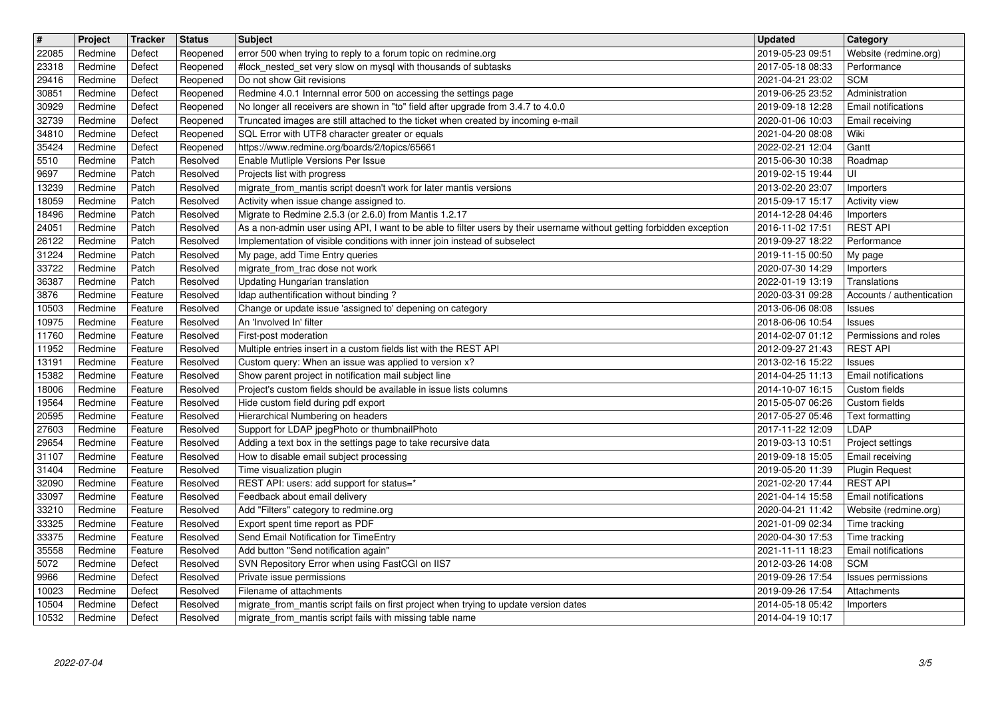| $\overline{\mathbf{H}}$ | Project            | Tracker            | <b>Status</b>        | <b>Subject</b>                                                                                                             | <b>Updated</b>                       | Category                                     |
|-------------------------|--------------------|--------------------|----------------------|----------------------------------------------------------------------------------------------------------------------------|--------------------------------------|----------------------------------------------|
| 22085                   | Redmine            | Defect             | Reopened             | error 500 when trying to reply to a forum topic on redmine.org                                                             | 2019-05-23 09:51                     | Website (redmine.org)                        |
| 23318<br>29416          | Redmine<br>Redmine | Defect<br>Defect   | Reopened<br>Reopened | #lock_nested_set very slow on mysql with thousands of subtasks<br>Do not show Git revisions                                | 2017-05-18 08:33<br>2021-04-21 23:02 | Performance<br><b>SCM</b>                    |
| 30851                   | Redmine            | Defect             | Reopened             | Redmine 4.0.1 Internnal error 500 on accessing the settings page                                                           | 2019-06-25 23:52                     | Administration                               |
| 30929                   | Redmine            | Defect             | Reopened             | No longer all receivers are shown in "to" field after upgrade from 3.4.7 to 4.0.0                                          | 2019-09-18 12:28                     | Email notifications                          |
| 32739                   | Redmine            | Defect             | Reopened             | Truncated images are still attached to the ticket when created by incoming e-mail                                          | 2020-01-06 10:03                     | Email receiving                              |
| 34810<br>35424          | Redmine<br>Redmine | Defect<br>Defect   | Reopened<br>Reopened | SQL Error with UTF8 character greater or equals<br>https://www.redmine.org/boards/2/topics/65661                           | 2021-04-20 08:08<br>2022-02-21 12:04 | Wiki<br>Gantt                                |
| 5510                    | Redmine            | Patch              | Resolved             | Enable Mutliple Versions Per Issue                                                                                         | 2015-06-30 10:38                     | Roadmap                                      |
| 9697                    | Redmine            | Patch              | Resolved             | Projects list with progress                                                                                                | 2019-02-15 19:44                     | UI                                           |
| 13239                   | Redmine            | Patch              | Resolved             | migrate_from_mantis script doesn't work for later mantis versions                                                          | 2013-02-20 23:07                     | Importers                                    |
| 18059<br>18496          | Redmine<br>Redmine | Patch<br>Patch     | Resolved<br>Resolved | Activity when issue change assigned to.<br>Migrate to Redmine 2.5.3 (or 2.6.0) from Mantis 1.2.17                          | 2015-09-17 15:17<br>2014-12-28 04:46 | Activity view                                |
| 24051                   | Redmine            | Patch              | Resolved             | As a non-admin user using API, I want to be able to filter users by their username without getting forbidden exception     | 2016-11-02 17:51                     | Importers<br><b>REST API</b>                 |
| 26122                   | Redmine            | Patch              | Resolved             | Implementation of visible conditions with inner join instead of subselect                                                  | 2019-09-27 18:22                     | Performance                                  |
| 31224                   | Redmine            | Patch              | Resolved             | My page, add Time Entry queries                                                                                            | 2019-11-15 00:50                     | My page                                      |
| 33722                   | Redmine            | Patch              | Resolved             | migrate_from_trac dose not work<br><b>Updating Hungarian translation</b>                                                   | 2020-07-30 14:29                     | Importers                                    |
| 36387<br>3876           | Redmine<br>Redmine | Patch<br>Feature   | Resolved<br>Resolved | Idap authentification without binding?                                                                                     | 2022-01-19 13:19<br>2020-03-31 09:28 | Translations<br>Accounts / authentication    |
| 10503                   | Redmine            | Feature            | Resolved             | Change or update issue 'assigned to' depening on category                                                                  | 2013-06-06 08:08                     | Issues                                       |
| 10975                   | Redmine            | Feature            | Resolved             | An 'Involved In' filter                                                                                                    | 2018-06-06 10:54                     | Issues                                       |
| 11760                   | Redmine            | Feature            | Resolved             | First-post moderation                                                                                                      | 2014-02-07 01:12                     | Permissions and roles                        |
| 11952<br>13191          | Redmine<br>Redmine | Feature<br>Feature | Resolved<br>Resolved | Multiple entries insert in a custom fields list with the REST API<br>Custom query: When an issue was applied to version x? | 2012-09-27 21:43<br>2013-02-16 15:22 | <b>REST API</b><br><b>Issues</b>             |
| 15382                   | Redmine            | Feature            | Resolved             | Show parent project in notification mail subject line                                                                      | 2014-04-25 11:13                     | Email notifications                          |
| 18006                   | Redmine            | Feature            | Resolved             | Project's custom fields should be available in issue lists columns                                                         | 2014-10-07 16:15                     | Custom fields                                |
| 19564                   | Redmine            | Feature            | Resolved             | Hide custom field during pdf export                                                                                        | 2015-05-07 06:26                     | Custom fields                                |
| 20595                   | Redmine            | Feature            | Resolved             | Hierarchical Numbering on headers                                                                                          | 2017-05-27 05:46                     | Text formatting<br>LDAP                      |
| 27603<br>29654          | Redmine<br>Redmine | Feature<br>Feature | Resolved<br>Resolved | Support for LDAP jpegPhoto or thumbnailPhoto<br>Adding a text box in the settings page to take recursive data              | 2017-11-22 12:09<br>2019-03-13 10:51 | Project settings                             |
| 31107                   | Redmine            | Feature            | Resolved             | How to disable email subject processing                                                                                    | 2019-09-18 15:05                     | Email receiving                              |
| 31404                   | Redmine            | Feature            | Resolved             | Time visualization plugin                                                                                                  | 2019-05-20 11:39                     | <b>Plugin Request</b>                        |
| 32090                   | Redmine            | Feature            | Resolved             | REST API: users: add support for status=*                                                                                  | 2021-02-20 17:44                     | <b>REST API</b>                              |
| 33097                   | Redmine<br>Redmine | Feature<br>Feature | Resolved<br>Resolved | Feedback about email delivery<br>Add "Filters" category to redmine.org                                                     | 2021-04-14 15:58<br>2020-04-21 11:42 | Email notifications<br>Website (redmine.org) |
| 33210<br>33325          | Redmine            | Feature            | Resolved             | Export spent time report as PDF                                                                                            | 2021-01-09 02:34                     | Time tracking                                |
| 33375                   | Redmine            | Feature            | Resolved             | Send Email Notification for TimeEntry                                                                                      | 2020-04-30 17:53                     | Time tracking                                |
| 35558                   | Redmine            | Feature            | Resolved             | Add button "Send notification again"                                                                                       | 2021-11-11 18:23                     | <b>Email notifications</b>                   |
| 5072                    | Redmine            | Defect             | Resolved             | SVN Repository Error when using FastCGI on IIS7                                                                            | 2012-03-26 14:08                     | <b>SCM</b>                                   |
| 9966<br>10023           | Redmine<br>Redmine | Defect<br>Defect   | Resolved<br>Resolved | Private issue permissions<br>Filename of attachments                                                                       | 2019-09-26 17:54<br>2019-09-26 17:54 | Issues permissions<br>Attachments            |
| 10504                   | Redmine            | Defect             | Resolved             | migrate_from_mantis script fails on first project when trying to update version dates                                      | 2014-05-18 05:42                     | Importers                                    |
| 10532                   | Redmine            | Defect             | Resolved             | migrate_from_mantis script fails with missing table name                                                                   | 2014-04-19 10:17                     |                                              |
|                         |                    |                    |                      |                                                                                                                            |                                      |                                              |
|                         |                    |                    |                      |                                                                                                                            |                                      |                                              |
|                         |                    |                    |                      |                                                                                                                            |                                      |                                              |
|                         |                    |                    |                      |                                                                                                                            |                                      |                                              |
|                         |                    |                    |                      |                                                                                                                            |                                      |                                              |
|                         |                    |                    |                      |                                                                                                                            |                                      |                                              |
|                         |                    |                    |                      |                                                                                                                            |                                      |                                              |
|                         |                    |                    |                      |                                                                                                                            |                                      |                                              |
|                         |                    |                    |                      |                                                                                                                            |                                      |                                              |
|                         |                    |                    |                      |                                                                                                                            |                                      |                                              |
|                         |                    |                    |                      |                                                                                                                            |                                      |                                              |
|                         |                    |                    |                      |                                                                                                                            |                                      |                                              |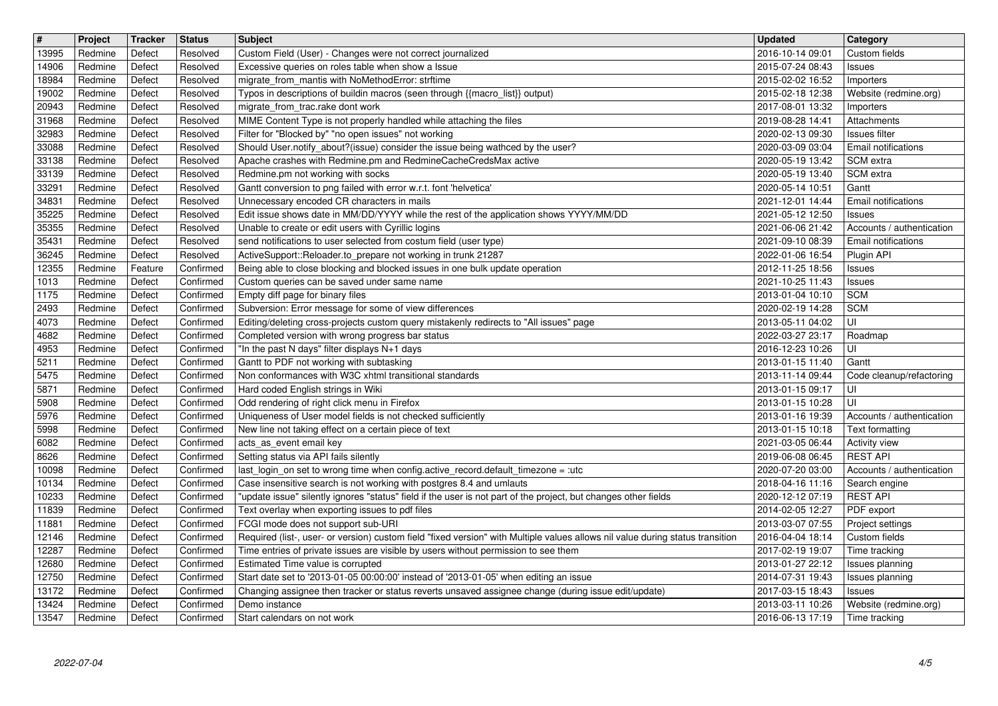| $\boxed{\texttt{#}}$ | Project            | Tracker          | <b>Status</b>          | <b>Subject</b>                                                                                                                                                                          | <b>Updated</b>                                         | <b>Category</b>                             |
|----------------------|--------------------|------------------|------------------------|-----------------------------------------------------------------------------------------------------------------------------------------------------------------------------------------|--------------------------------------------------------|---------------------------------------------|
| 13995                | Redmine            | Defect           | Resolved               | Custom Field (User) - Changes were not correct journalized                                                                                                                              | 2016-10-14 09:01                                       | Custom fields                               |
| 14906<br>18984       | Redmine<br>Redmine | Defect<br>Defect | Resolved<br>Resolved   | Excessive queries on roles table when show a Issue<br>migrate_from_mantis with NoMethodError: strftime                                                                                  | 2015-07-24 08:43<br>2015-02-02 16:52                   | Issues<br>Importers                         |
| 19002                | Redmine            | Defect           | Resolved               | Typos in descriptions of buildin macros (seen through {{macro_list}} output)                                                                                                            | 2015-02-18 12:38                                       | Website (redmine.org)                       |
| 20943                | Redmine            | Defect           | Resolved               | migrate_from_trac.rake dont work                                                                                                                                                        | 2017-08-01 13:32                                       | Importers                                   |
| 31968                | Redmine            | Defect           | Resolved               | MIME Content Type is not properly handled while attaching the files                                                                                                                     | 2019-08-28 14:41                                       | Attachments                                 |
| 32983<br>33088       | Redmine<br>Redmine | Defect<br>Defect | Resolved<br>Resolved   | Filter for "Blocked by" "no open issues" not working<br>Should User.notify_about?(issue) consider the issue being wathced by the user?                                                  | 2020-02-13 09:30<br>2020-03-09 03:04                   | <b>Issues filter</b><br>Email notifications |
| 33138                | Redmine            | Defect           | Resolved               | Apache crashes with Redmine.pm and RedmineCacheCredsMax active                                                                                                                          | 2020-05-19 13:42                                       | SCM extra                                   |
| 33139                | Redmine            | Defect           | Resolved               | Redmine.pm not working with socks                                                                                                                                                       | 2020-05-19 13:40                                       | SCM extra                                   |
| 33291                | Redmine            | Defect           | Resolved               | Gantt conversion to png failed with error w.r.t. font 'helvetica'                                                                                                                       | 2020-05-14 10:51                                       | Gantt                                       |
| 34831                | Redmine            | Defect           | Resolved               | Unnecessary encoded CR characters in mails                                                                                                                                              | 2021-12-01 14:44                                       | Email notifications                         |
| 35225<br>35355       | Redmine<br>Redmine | Defect<br>Defect | Resolved<br>Resolved   | Edit issue shows date in MM/DD/YYYY while the rest of the application shows YYYY/MM/DD<br>Unable to create or edit users with Cyrillic logins                                           | 2021-05-12 12:50<br>2021-06-06 21:42                   | Issues<br>Accounts / authentication         |
| 35431                | Redmine            | Defect           | Resolved               | send notifications to user selected from costum field (user type)                                                                                                                       | 2021-09-10 08:39                                       | Email notifications                         |
| 36245                | Redmine            | Defect           | Resolved               | ActiveSupport::Reloader.to_prepare not working in trunk 21287                                                                                                                           | 2022-01-06 16:54                                       | Plugin API                                  |
| 12355                | Redmine            | Feature          | Confirmed              | Being able to close blocking and blocked issues in one bulk update operation                                                                                                            | 2012-11-25 18:56                                       | Issues                                      |
| 1013                 | Redmine            | Defect           | Confirmed              | Custom queries can be saved under same name                                                                                                                                             | 2021-10-25 11:43                                       | Issues<br><b>SCM</b>                        |
| 1175<br>2493         | Redmine<br>Redmine | Defect<br>Defect | Confirmed<br>Confirmed | Empty diff page for binary files<br>Subversion: Error message for some of view differences                                                                                              | 2013-01-04 10:10<br>2020-02-19 14:28                   | <b>SCM</b>                                  |
| 4073                 | Redmine            | Defect           | Confirmed              | Editing/deleting cross-projects custom query mistakenly redirects to "All issues" page                                                                                                  | 2013-05-11 04:02                                       | UI                                          |
| 4682                 | Redmine            | Defect           | Confirmed              | Completed version with wrong progress bar status                                                                                                                                        | 2022-03-27 23:17                                       | Roadmap                                     |
| 4953                 | Redmine            | Defect           | Confirmed              | "In the past N days" filter displays N+1 days                                                                                                                                           | 2016-12-23 10:26                                       | UI                                          |
| 5211                 | Redmine            | Defect           | Confirmed              | Gantt to PDF not working with subtasking                                                                                                                                                | 2013-01-15 11:40                                       | Gantt                                       |
| 5475<br>5871         | Redmine<br>Redmine | Defect<br>Defect | Confirmed<br>Confirmed | Non conformances with W3C xhtml transitional standards<br>Hard coded English strings in Wiki                                                                                            | 2013-11-14 09:44<br>2013-01-15 09:17                   | Code cleanup/refactoring<br>UI              |
| 5908                 | Redmine            | Defect           | Confirmed              | Odd rendering of right click menu in Firefox                                                                                                                                            | 2013-01-15 10:28                                       | UI                                          |
| 5976                 | Redmine            | Defect           | Confirmed              | Uniqueness of User model fields is not checked sufficiently                                                                                                                             | 2013-01-16 19:39                                       | Accounts / authentication                   |
| 5998                 | Redmine            | Defect           | Confirmed              | New line not taking effect on a certain piece of text                                                                                                                                   | 2013-01-15 10:18                                       | Text formatting                             |
| 6082                 | Redmine            | Defect           | Confirmed              | acts_as_event email key                                                                                                                                                                 | 2021-03-05 06:44                                       | Activity view                               |
| 8626                 | Redmine            | Defect           | Confirmed              | Setting status via API fails silently                                                                                                                                                   | 2019-06-08 06:45                                       | <b>REST API</b>                             |
| 10098                | Redmine            | Defect           | Confirmed              | last_login_on set to wrong time when config.active_record.default_timezone = :utc                                                                                                       | 2020-07-20 03:00                                       | Accounts / authentication                   |
| 10134<br>10233       | Redmine<br>Redmine | Defect<br>Defect | Confirmed<br>Confirmed | Case insensitive search is not working with postgres 8.4 and umlauts<br>"update issue" silently ignores "status" field if the user is not part of the project, but changes other fields | 2018-04-16 11:16<br>2020-12-12 07:19                   | Search engine<br><b>REST API</b>            |
| 11839                | Redmine            | Defect           | Confirmed              | Text overlay when exporting issues to pdf files                                                                                                                                         | 2014-02-05 12:27                                       | PDF export                                  |
| 11881                | Redmine            | Defect           | Confirmed              | FCGI mode does not support sub-URI                                                                                                                                                      | 2013-03-07 07:55                                       | Project settings                            |
| 12146                | Redmine            | Defect           | Confirmed              | Required (list-, user- or version) custom field "fixed version" with Multiple values allows nil value during status transition                                                          | 2016-04-04 18:14                                       | Custom fields                               |
| 12287                | Redmine            | Defect           | Confirmed              | Time entries of private issues are visible by users without permission to see them                                                                                                      | 2017-02-19 19:07                                       | Time tracking                               |
| 12680<br>12750       | Redmine<br>Redmine | Defect<br>Defect | Confirmed<br>Confirmed | Estimated Time value is corrupted<br>Start date set to '2013-01-05 00:00:00' instead of '2013-01-05' when editing an issue                                                              | 2013-01-27 22:12   Issues planning<br>2014-07-31 19:43 | Issues planning                             |
| 13172                | Redmine            | Defect           | Confirmed              | Changing assignee then tracker or status reverts unsaved assignee change (during issue edit/update)                                                                                     | 2017-03-15 18:43                                       | Issues                                      |
| 13424                | Redmine            | Defect           | Confirmed              | Demo instance                                                                                                                                                                           | 2013-03-11 10:26                                       | Website (redmine.org)                       |
| 13547                | Redmine            | Defect           | Confirmed              | Start calendars on not work                                                                                                                                                             | 2016-06-13 17:19                                       | Time tracking                               |
| 2022-07-04           |                    |                  |                        |                                                                                                                                                                                         |                                                        |                                             |
|                      |                    |                  |                        |                                                                                                                                                                                         |                                                        |                                             |
|                      |                    |                  |                        |                                                                                                                                                                                         |                                                        |                                             |
|                      |                    |                  |                        |                                                                                                                                                                                         |                                                        |                                             |
|                      |                    |                  |                        |                                                                                                                                                                                         |                                                        |                                             |
|                      |                    |                  |                        |                                                                                                                                                                                         |                                                        |                                             |
|                      |                    |                  |                        |                                                                                                                                                                                         |                                                        |                                             |
|                      |                    |                  |                        |                                                                                                                                                                                         |                                                        |                                             |
|                      |                    |                  |                        |                                                                                                                                                                                         |                                                        |                                             |
|                      |                    |                  |                        |                                                                                                                                                                                         |                                                        |                                             |
|                      |                    |                  |                        |                                                                                                                                                                                         |                                                        |                                             |
|                      |                    |                  |                        |                                                                                                                                                                                         |                                                        |                                             |
|                      |                    |                  |                        |                                                                                                                                                                                         |                                                        |                                             |
|                      |                    |                  |                        |                                                                                                                                                                                         |                                                        |                                             |
|                      |                    |                  |                        |                                                                                                                                                                                         |                                                        |                                             |
|                      |                    |                  |                        |                                                                                                                                                                                         |                                                        |                                             |
|                      |                    |                  |                        |                                                                                                                                                                                         |                                                        |                                             |
|                      |                    |                  |                        |                                                                                                                                                                                         |                                                        |                                             |
|                      |                    |                  |                        |                                                                                                                                                                                         |                                                        |                                             |
|                      |                    |                  |                        |                                                                                                                                                                                         |                                                        |                                             |
|                      |                    |                  |                        |                                                                                                                                                                                         |                                                        |                                             |
|                      |                    |                  |                        |                                                                                                                                                                                         |                                                        |                                             |
|                      |                    |                  |                        |                                                                                                                                                                                         |                                                        |                                             |
|                      |                    |                  |                        |                                                                                                                                                                                         |                                                        |                                             |
|                      |                    |                  |                        |                                                                                                                                                                                         |                                                        |                                             |
|                      |                    |                  |                        |                                                                                                                                                                                         |                                                        |                                             |
|                      |                    |                  |                        |                                                                                                                                                                                         |                                                        |                                             |
|                      |                    |                  |                        |                                                                                                                                                                                         |                                                        |                                             |
|                      |                    |                  |                        |                                                                                                                                                                                         |                                                        |                                             |
|                      |                    |                  |                        |                                                                                                                                                                                         |                                                        |                                             |
|                      |                    |                  |                        |                                                                                                                                                                                         |                                                        |                                             |
|                      |                    |                  |                        |                                                                                                                                                                                         |                                                        |                                             |
|                      |                    |                  |                        |                                                                                                                                                                                         |                                                        |                                             |
|                      |                    |                  |                        |                                                                                                                                                                                         |                                                        |                                             |
|                      |                    |                  |                        |                                                                                                                                                                                         |                                                        |                                             |
|                      |                    |                  |                        |                                                                                                                                                                                         |                                                        |                                             |
|                      |                    |                  |                        |                                                                                                                                                                                         |                                                        |                                             |
|                      |                    |                  |                        |                                                                                                                                                                                         |                                                        |                                             |
|                      |                    |                  |                        |                                                                                                                                                                                         |                                                        |                                             |
|                      |                    |                  |                        |                                                                                                                                                                                         |                                                        |                                             |
|                      |                    |                  |                        |                                                                                                                                                                                         |                                                        |                                             |
|                      |                    |                  |                        |                                                                                                                                                                                         |                                                        |                                             |
|                      |                    |                  |                        |                                                                                                                                                                                         |                                                        |                                             |
|                      |                    |                  |                        |                                                                                                                                                                                         |                                                        |                                             |
|                      |                    |                  |                        |                                                                                                                                                                                         |                                                        |                                             |